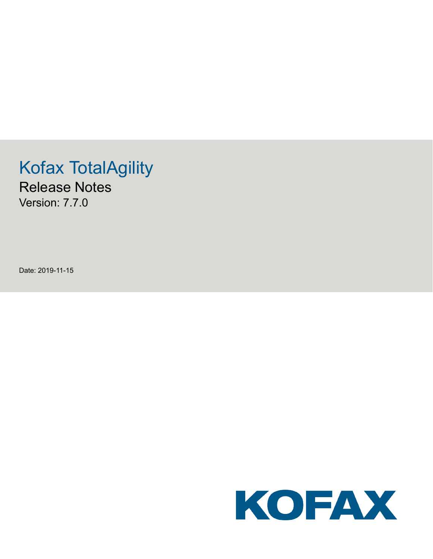# Kofax TotalAgility

Release Notes Version: 7.7.0

Date: 2019-11-15

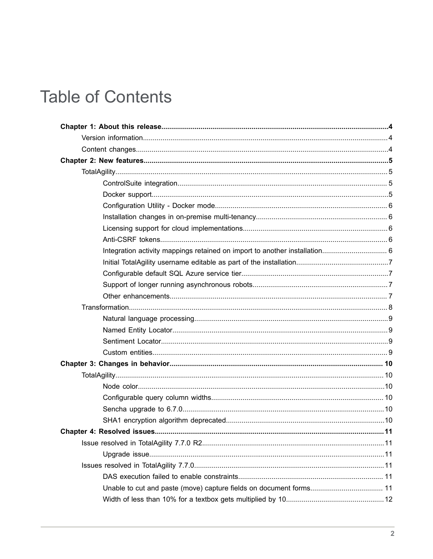# **Table of Contents**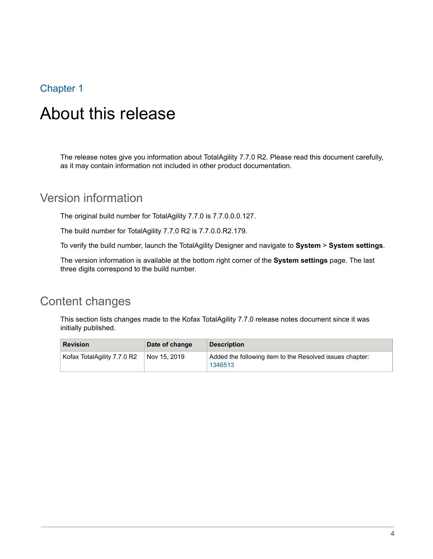# <span id="page-3-0"></span>About this release

The release notes give you information about TotalAgility 7.7.0 R2. Please read this document carefully, as it may contain information not included in other product documentation.

# <span id="page-3-1"></span>Version information

The original build number for TotalAgility 7.7.0 is 7.7.0.0.0.127.

The build number for TotalAgility 7.7.0 R2 is 7.7.0.0.R2.179.

To verify the build number, launch the TotalAgility Designer and navigate to **System** > **System settings**.

The version information is available at the bottom right corner of the **System settings** page. The last three digits correspond to the build number.

# <span id="page-3-2"></span>Content changes

This section lists changes made to the Kofax TotalAgility 7.7.0 release notes document since it was initially published.

| <b>Revision</b>             | Date of change | <b>Description</b>                                                  |
|-----------------------------|----------------|---------------------------------------------------------------------|
| Kofax TotalAgility 7.7.0 R2 | Nov 15, 2019   | Added the following item to the Resolved issues chapter:<br>1346513 |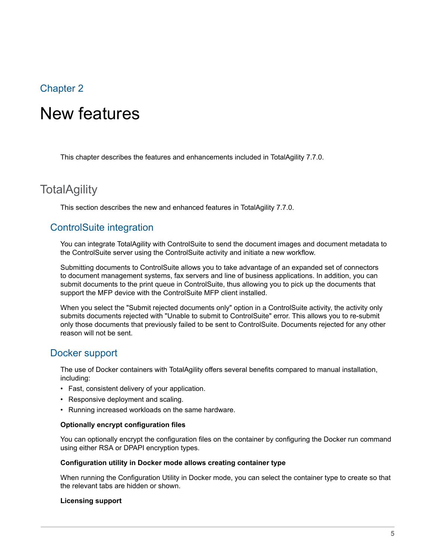# <span id="page-4-0"></span>New features

This chapter describes the features and enhancements included in TotalAgility 7.7.0.

# <span id="page-4-1"></span>**TotalAgility**

This section describes the new and enhanced features in TotalAgility 7.7.0.

#### <span id="page-4-2"></span>ControlSuite integration

You can integrate TotalAgility with ControlSuite to send the document images and document metadata to the ControlSuite server using the ControlSuite activity and initiate a new workflow.

Submitting documents to ControlSuite allows you to take advantage of an expanded set of connectors to document management systems, fax servers and line of business applications. In addition, you can submit documents to the print queue in ControlSuite, thus allowing you to pick up the documents that support the MFP device with the ControlSuite MFP client installed.

When you select the "Submit rejected documents only" option in a ControlSuite activity, the activity only submits documents rejected with "Unable to submit to ControlSuite" error. This allows you to re-submit only those documents that previously failed to be sent to ControlSuite. Documents rejected for any other reason will not be sent.

### <span id="page-4-3"></span>Docker support

The use of Docker containers with TotalAgility offers several benefits compared to manual installation, including:

- Fast, consistent delivery of your application.
- Responsive deployment and scaling.
- Running increased workloads on the same hardware.

#### **Optionally encrypt configuration files**

You can optionally encrypt the configuration files on the container by configuring the Docker run command using either RSA or DPAPI encryption types.

#### **Configuration utility in Docker mode allows creating container type**

When running the Configuration Utility in Docker mode, you can select the container type to create so that the relevant tabs are hidden or shown.

#### **Licensing support**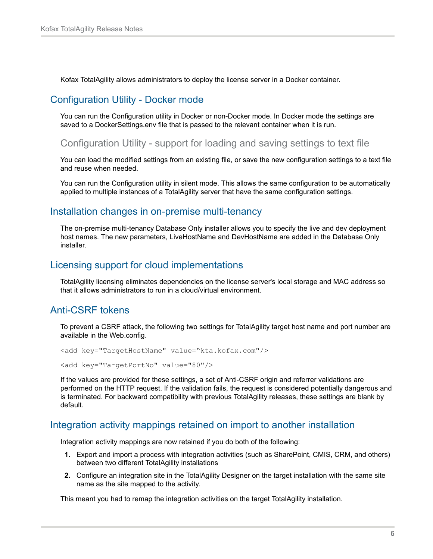Kofax TotalAgility allows administrators to deploy the license server in a Docker container.

#### <span id="page-5-0"></span>Configuration Utility - Docker mode

You can run the Configuration utility in Docker or non-Docker mode. In Docker mode the settings are saved to a DockerSettings.env file that is passed to the relevant container when it is run.

Configuration Utility - support for loading and saving settings to text file

You can load the modified settings from an existing file, or save the new configuration settings to a text file and reuse when needed.

You can run the Configuration utility in silent mode. This allows the same configuration to be automatically applied to multiple instances of a TotalAgility server that have the same configuration settings.

#### <span id="page-5-1"></span>Installation changes in on-premise multi-tenancy

The on-premise multi-tenancy Database Only installer allows you to specify the live and dev deployment host names. The new parameters, LiveHostName and DevHostName are added in the Database Only installer.

#### <span id="page-5-2"></span>Licensing support for cloud implementations

TotalAgility licensing eliminates dependencies on the license server's local storage and MAC address so that it allows administrators to run in a cloud/virtual environment.

### <span id="page-5-3"></span>Anti-CSRF tokens

To prevent a CSRF attack, the following two settings for TotalAgility target host name and port number are available in the Web.config.

```
<add key="TargetHostName" value="kta.kofax.com"/>
```
<add key="TargetPortNo" value="80"/>

If the values are provided for these settings, a set of Anti-CSRF origin and referrer validations are performed on the HTTP request. If the validation fails, the request is considered potentially dangerous and is terminated. For backward compatibility with previous TotalAgility releases, these settings are blank by default.

#### <span id="page-5-4"></span>Integration activity mappings retained on import to another installation

Integration activity mappings are now retained if you do both of the following:

- **1.** Export and import a process with integration activities (such as SharePoint, CMIS, CRM, and others) between two different TotalAgility installations
- **2.** Configure an integration site in the TotalAgility Designer on the target installation with the same site name as the site mapped to the activity.

This meant you had to remap the integration activities on the target TotalAgility installation.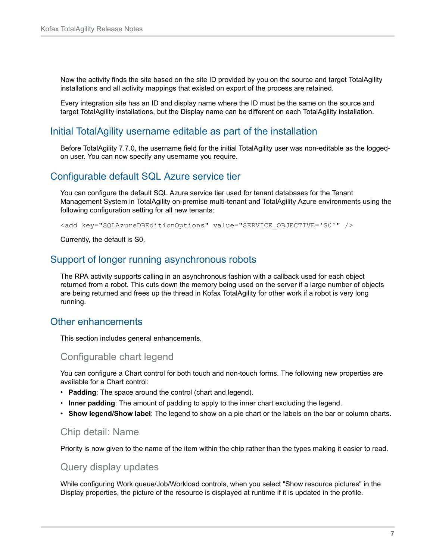Now the activity finds the site based on the site ID provided by you on the source and target TotalAgility installations and all activity mappings that existed on export of the process are retained.

Every integration site has an ID and display name where the ID must be the same on the source and target TotalAgility installations, but the Display name can be different on each TotalAgility installation.

#### <span id="page-6-0"></span>Initial TotalAgility username editable as part of the installation

Before TotalAgility 7.7.0, the username field for the initial TotalAgility user was non-editable as the loggedon user. You can now specify any username you require.

#### <span id="page-6-1"></span>Configurable default SQL Azure service tier

You can configure the default SQL Azure service tier used for tenant databases for the Tenant Management System in TotalAgility on-premise multi-tenant and TotalAgility Azure environments using the following configuration setting for all new tenants:

<add key="SQLAzureDBEditionOptions" value="SERVICE\_OBJECTIVE='S0'" />

Currently, the default is S0.

#### <span id="page-6-2"></span>Support of longer running asynchronous robots

The RPA activity supports calling in an asynchronous fashion with a callback used for each object returned from a robot. This cuts down the memory being used on the server if a large number of objects are being returned and frees up the thread in Kofax TotalAgility for other work if a robot is very long running.

#### <span id="page-6-3"></span>Other enhancements

This section includes general enhancements.

#### Configurable chart legend

You can configure a Chart control for both touch and non-touch forms. The following new properties are available for a Chart control:

- **Padding**: The space around the control (chart and legend).
- **Inner padding**: The amount of padding to apply to the inner chart excluding the legend.
- **Show legend/Show label**: The legend to show on a pie chart or the labels on the bar or column charts.

#### Chip detail: Name

Priority is now given to the name of the item within the chip rather than the types making it easier to read.

#### Query display updates

While configuring Work queue/Job/Workload controls, when you select "Show resource pictures" in the Display properties, the picture of the resource is displayed at runtime if it is updated in the profile.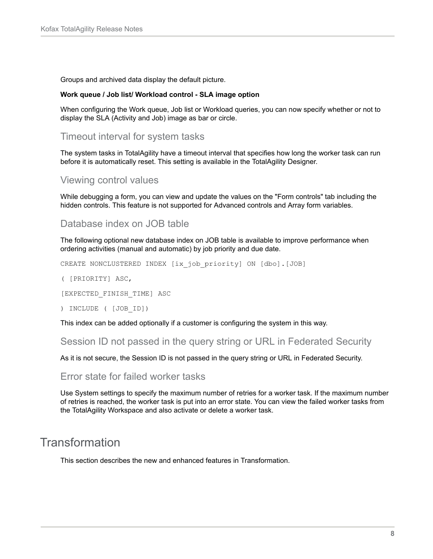Groups and archived data display the default picture.

#### **Work queue / Job list/ Workload control - SLA image option**

When configuring the Work queue, Job list or Workload queries, you can now specify whether or not to display the SLA (Activity and Job) image as bar or circle.

#### Timeout interval for system tasks

The system tasks in TotalAgility have a timeout interval that specifies how long the worker task can run before it is automatically reset. This setting is available in the TotalAgility Designer.

#### Viewing control values

While debugging a form, you can view and update the values on the "Form controls" tab including the hidden controls. This feature is not supported for Advanced controls and Array form variables.

#### Database index on JOB table

The following optional new database index on JOB table is available to improve performance when ordering activities (manual and automatic) by job priority and due date.

CREATE NONCLUSTERED INDEX [ix\_job\_priority] ON [dbo].[JOB]

( [PRIORITY] ASC,

[EXPECTED\_FINISH\_TIME] ASC

) INCLUDE ( [JOB\_ID])

This index can be added optionally if a customer is configuring the system in this way.

Session ID not passed in the query string or URL in Federated Security

As it is not secure, the Session ID is not passed in the query string or URL in Federated Security.

#### Error state for failed worker tasks

Use System settings to specify the maximum number of retries for a worker task. If the maximum number of retries is reached, the worker task is put into an error state. You can view the failed worker tasks from the TotalAgility Workspace and also activate or delete a worker task.

# <span id="page-7-0"></span>Transformation

This section describes the new and enhanced features in Transformation.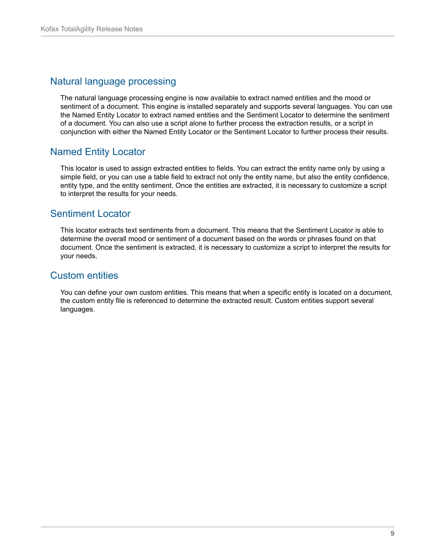### <span id="page-8-0"></span>Natural language processing

The natural language processing engine is now available to extract named entities and the mood or sentiment of a document. This engine is installed separately and supports several languages. You can use the Named Entity Locator to extract named entities and the Sentiment Locator to determine the sentiment of a document. You can also use a script alone to further process the extraction results, or a script in conjunction with either the Named Entity Locator or the Sentiment Locator to further process their results.

### <span id="page-8-1"></span>Named Entity Locator

This locator is used to assign extracted entities to fields. You can extract the entity name only by using a simple field, or you can use a table field to extract not only the entity name, but also the entity confidence, entity type, and the entity sentiment. Once the entities are extracted, it is necessary to customize a script to interpret the results for your needs.

### <span id="page-8-2"></span>Sentiment Locator

This locator extracts text sentiments from a document. This means that the Sentiment Locator is able to determine the overall mood or sentiment of a document based on the words or phrases found on that document. Once the sentiment is extracted, it is necessary to customize a script to interpret the results for your needs.

### <span id="page-8-3"></span>Custom entities

You can define your own custom entities. This means that when a specific entity is located on a document, the custom entity file is referenced to determine the extracted result. Custom entities support several languages.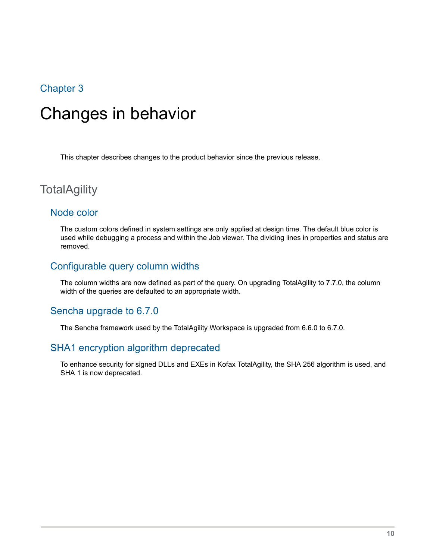# <span id="page-9-0"></span>Changes in behavior

This chapter describes changes to the product behavior since the previous release.

# <span id="page-9-1"></span>**TotalAgility**

#### <span id="page-9-2"></span>Node color

The custom colors defined in system settings are only applied at design time. The default blue color is used while debugging a process and within the Job viewer. The dividing lines in properties and status are removed.

### <span id="page-9-3"></span>Configurable query column widths

The column widths are now defined as part of the query. On upgrading TotalAgility to 7.7.0, the column width of the queries are defaulted to an appropriate width.

#### <span id="page-9-4"></span>Sencha upgrade to 6.7.0

The Sencha framework used by the TotalAgility Workspace is upgraded from 6.6.0 to 6.7.0.

#### <span id="page-9-5"></span>SHA1 encryption algorithm deprecated

To enhance security for signed DLLs and EXEs in Kofax TotalAgility, the SHA 256 algorithm is used, and SHA 1 is now deprecated.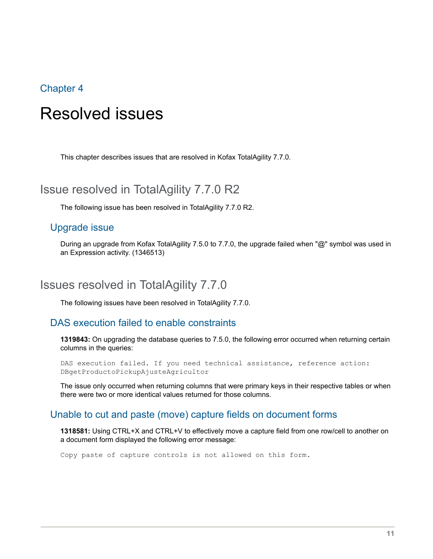# <span id="page-10-0"></span>Resolved issues

This chapter describes issues that are resolved in Kofax TotalAgility 7.7.0.

# <span id="page-10-1"></span>Issue resolved in TotalAgility 7.7.0 R2

The following issue has been resolved in TotalAgility 7.7.0 R2.

#### <span id="page-10-2"></span>Upgrade issue

During an upgrade from Kofax TotalAgility 7.5.0 to 7.7.0, the upgrade failed when "@" symbol was used in an Expression activity. (1346513)

# <span id="page-10-3"></span>Issues resolved in TotalAgility 7.7.0

The following issues have been resolved in TotalAgility 7.7.0.

#### <span id="page-10-4"></span>DAS execution failed to enable constraints

**1319843:** On upgrading the database queries to 7.5.0, the following error occurred when returning certain columns in the queries:

DAS execution failed. If you need technical assistance, reference action: DBgetProductoPickupAjusteAgricultor

The issue only occurred when returning columns that were primary keys in their respective tables or when there were two or more identical values returned for those columns.

#### <span id="page-10-5"></span>Unable to cut and paste (move) capture fields on document forms

**1318581:** Using CTRL+X and CTRL+V to effectively move a capture field from one row/cell to another on a document form displayed the following error message:

Copy paste of capture controls is not allowed on this form.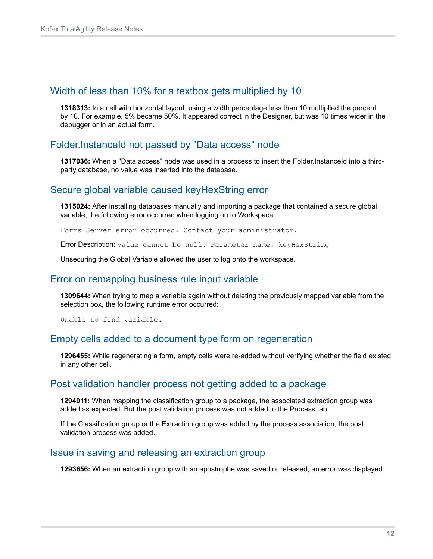#### <span id="page-11-0"></span>Width of less than 10% for a textbox gets multiplied by 10

**1318313:** In a cell with horizontal layout, using a width percentage less than 10 multiplied the percent by 10. For example, 5% became 50%. It appeared correct in the Designer, but was 10 times wider in the debugger or in an actual form.

#### <span id="page-11-1"></span>Folder.InstanceId not passed by "Data access" node

**1317036:** When a "Data access" node was used in a process to insert the Folder. InstanceId into a thirdparty database, no value was inserted into the database.

#### <span id="page-11-2"></span>Secure global variable caused keyHexString error

**1315024:** After installing databases manually and importing a package that contained a secure global variable, the following error occurred when logging on to Workspace:

Forms Server error occurred. Contact your administrator.

Error Description: Value cannot be null. Parameter name: keyHexString

Unsecuring the Global Variable allowed the user to log onto the workspace.

#### <span id="page-11-3"></span>Error on remapping business rule input variable

**1309644:** When trying to map a variable again without deleting the previously mapped variable from the selection box, the following runtime error occurred:

Unable to find variable.

#### <span id="page-11-4"></span>Empty cells added to a document type form on regeneration

**1296455:** While regenerating a form, empty cells were re-added without verifying whether the field existed in any other cell.

#### <span id="page-11-5"></span>Post validation handler process not getting added to a package

**1294011:** When mapping the classification group to a package, the associated extraction group was added as expected. But the post validation process was not added to the Process tab.

If the Classification group or the Extraction group was added by the process association, the post validation process was added.

#### <span id="page-11-6"></span>Issue in saving and releasing an extraction group

**1293656:** When an extraction group with an apostrophe was saved or released, an error was displayed.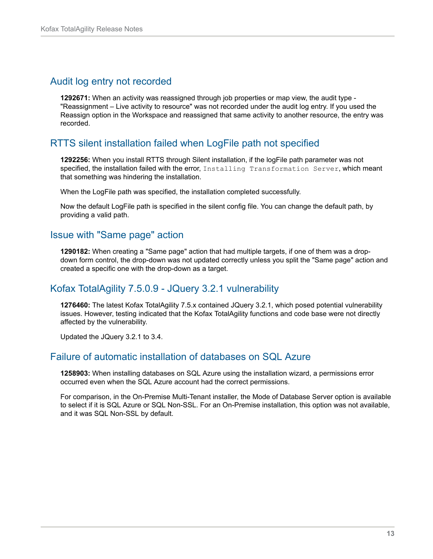### <span id="page-12-0"></span>Audit log entry not recorded

**1292671:** When an activity was reassigned through job properties or map view, the audit type - "Reassignment – Live activity to resource" was not recorded under the audit log entry. If you used the Reassign option in the Workspace and reassigned that same activity to another resource, the entry was recorded.

## <span id="page-12-1"></span>RTTS silent installation failed when LogFile path not specified

**1292256:** When you install RTTS through Silent installation, if the logFile path parameter was not specified, the installation failed with the error, Installing Transformation Server, which meant that something was hindering the installation.

When the LogFile path was specified, the installation completed successfully.

Now the default LogFile path is specified in the silent config file. You can change the default path, by providing a valid path.

### <span id="page-12-2"></span>Issue with "Same page" action

**1290182:** When creating a "Same page" action that had multiple targets, if one of them was a dropdown form control, the drop-down was not updated correctly unless you split the "Same page" action and created a specific one with the drop-down as a target.

## <span id="page-12-3"></span>Kofax TotalAgility 7.5.0.9 - JQuery 3.2.1 vulnerability

**1276460:** The latest Kofax TotalAgility 7.5.x contained JQuery 3.2.1, which posed potential vulnerability issues. However, testing indicated that the Kofax TotalAgility functions and code base were not directly affected by the vulnerability.

Updated the JQuery 3.2.1 to 3.4.

### <span id="page-12-4"></span>Failure of automatic installation of databases on SQL Azure

**1258903:** When installing databases on SQL Azure using the installation wizard, a permissions error occurred even when the SQL Azure account had the correct permissions.

For comparison, in the On-Premise Multi-Tenant installer, the Mode of Database Server option is available to select if it is SQL Azure or SQL Non-SSL. For an On-Premise installation, this option was not available, and it was SQL Non-SSL by default.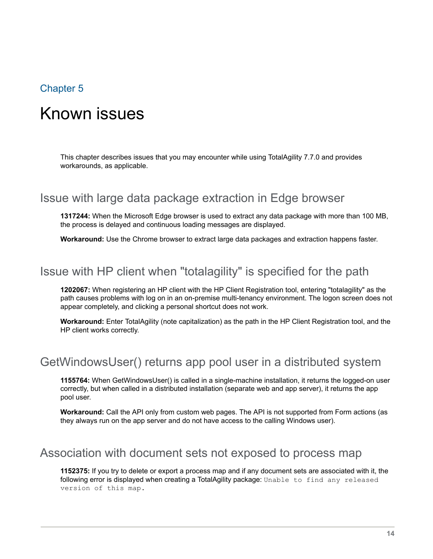# <span id="page-13-0"></span>Known issues

This chapter describes issues that you may encounter while using TotalAgility 7.7.0 and provides workarounds, as applicable.

# <span id="page-13-1"></span>Issue with large data package extraction in Edge browser

**1317244:** When the Microsoft Edge browser is used to extract any data package with more than 100 MB, the process is delayed and continuous loading messages are displayed.

**Workaround:** Use the Chrome browser to extract large data packages and extraction happens faster.

# <span id="page-13-2"></span>Issue with HP client when "totalagility" is specified for the path

**1202067:** When registering an HP client with the HP Client Registration tool, entering "totalagility" as the path causes problems with log on in an on-premise multi-tenancy environment. The logon screen does not appear completely, and clicking a personal shortcut does not work.

**Workaround:** Enter TotalAgility (note capitalization) as the path in the HP Client Registration tool, and the HP client works correctly.

# <span id="page-13-3"></span>GetWindowsUser() returns app pool user in a distributed system

**1155764:** When GetWindowsUser() is called in a single-machine installation, it returns the logged-on user correctly, but when called in a distributed installation (separate web and app server), it returns the app pool user.

**Workaround:** Call the API only from custom web pages. The API is not supported from Form actions (as they always run on the app server and do not have access to the calling Windows user).

# <span id="page-13-4"></span>Association with document sets not exposed to process map

**1152375:** If you try to delete or export a process map and if any document sets are associated with it, the following error is displayed when creating a TotalAgility package: Unable to find any released version of this map.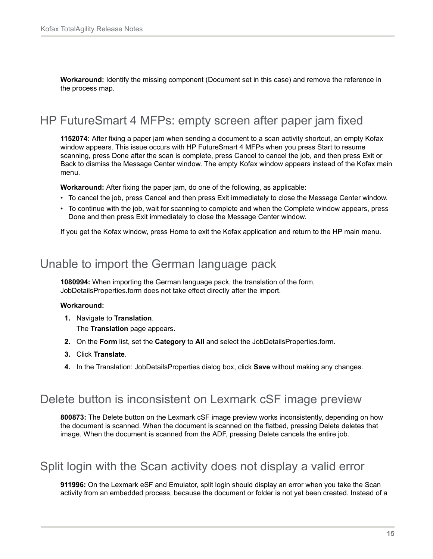**Workaround:** Identify the missing component (Document set in this case) and remove the reference in the process map.

# <span id="page-14-0"></span>HP FutureSmart 4 MFPs: empty screen after paper jam fixed

**1152074:** After fixing a paper jam when sending a document to a scan activity shortcut, an empty Kofax window appears. This issue occurs with HP FutureSmart 4 MFPs when you press Start to resume scanning, press Done after the scan is complete, press Cancel to cancel the job, and then press Exit or Back to dismiss the Message Center window. The empty Kofax window appears instead of the Kofax main menu.

**Workaround:** After fixing the paper jam, do one of the following, as applicable:

- To cancel the job, press Cancel and then press Exit immediately to close the Message Center window.
- To continue with the job, wait for scanning to complete and when the Complete window appears, press Done and then press Exit immediately to close the Message Center window.

If you get the Kofax window, press Home to exit the Kofax application and return to the HP main menu.

# <span id="page-14-1"></span>Unable to import the German language pack

**1080994:** When importing the German language pack, the translation of the form, JobDetailsProperties.form does not take effect directly after the import.

#### **Workaround:**

**1.** Navigate to **Translation**.

The **Translation** page appears.

- **2.** On the **Form** list, set the **Category** to **All** and select the JobDetailsProperties.form.
- **3.** Click **Translate**.
- **4.** In the Translation: JobDetailsProperties dialog box, click **Save** without making any changes.

## <span id="page-14-2"></span>Delete button is inconsistent on Lexmark cSF image preview

**800873:** The Delete button on the Lexmark cSF image preview works inconsistently, depending on how the document is scanned. When the document is scanned on the flatbed, pressing Delete deletes that image. When the document is scanned from the ADF, pressing Delete cancels the entire job.

# <span id="page-14-3"></span>Split login with the Scan activity does not display a valid error

**911996:** On the Lexmark eSF and Emulator, split login should display an error when you take the Scan activity from an embedded process, because the document or folder is not yet been created. Instead of a